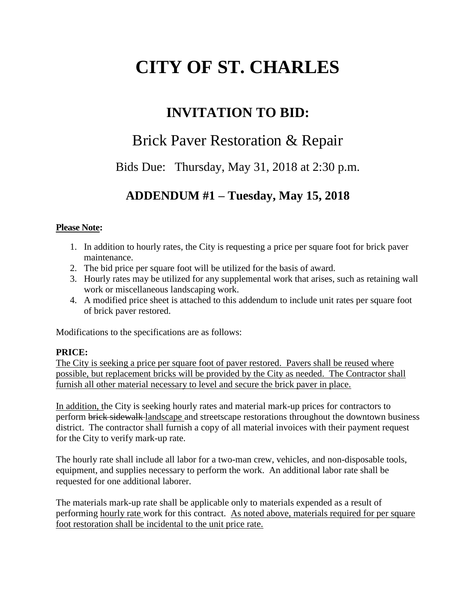# **CITY OF ST. CHARLES**

# **INVITATION TO BID:**

# Brick Paver Restoration & Repair

Bids Due: Thursday, May 31, 2018 at 2:30 p.m.

# **ADDENDUM #1 – Tuesday, May 15, 2018**

### **Please Note:**

- 1. In addition to hourly rates, the City is requesting a price per square foot for brick paver maintenance.
- 2. The bid price per square foot will be utilized for the basis of award.
- 3. Hourly rates may be utilized for any supplemental work that arises, such as retaining wall work or miscellaneous landscaping work.
- 4. A modified price sheet is attached to this addendum to include unit rates per square foot of brick paver restored.

Modifications to the specifications are as follows:

### **PRICE:**

The City is seeking a price per square foot of paver restored. Pavers shall be reused where possible, but replacement bricks will be provided by the City as needed. The Contractor shall furnish all other material necessary to level and secure the brick paver in place.

In addition, the City is seeking hourly rates and material mark-up prices for contractors to perform brick sidewalk landscape and streetscape restorations throughout the downtown business district. The contractor shall furnish a copy of all material invoices with their payment request for the City to verify mark-up rate.

The hourly rate shall include all labor for a two-man crew, vehicles, and non-disposable tools, equipment, and supplies necessary to perform the work. An additional labor rate shall be requested for one additional laborer.

The materials mark-up rate shall be applicable only to materials expended as a result of performing hourly rate work for this contract. As noted above, materials required for per square foot restoration shall be incidental to the unit price rate.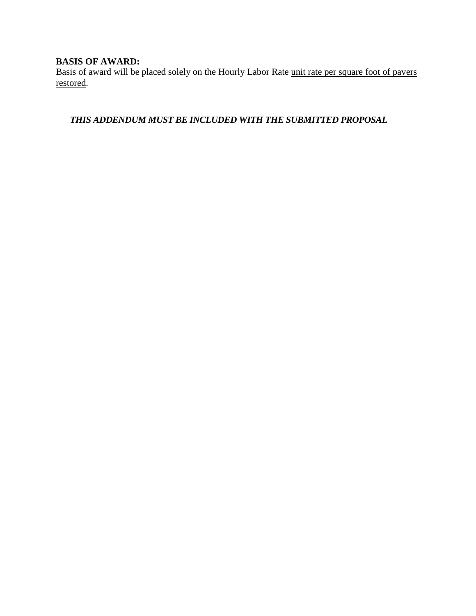# **BASIS OF AWARD:**

Basis of award will be placed solely on the Hourly Labor Rate unit rate per square foot of pavers restored.

*THIS ADDENDUM MUST BE INCLUDED WITH THE SUBMITTED PROPOSAL*